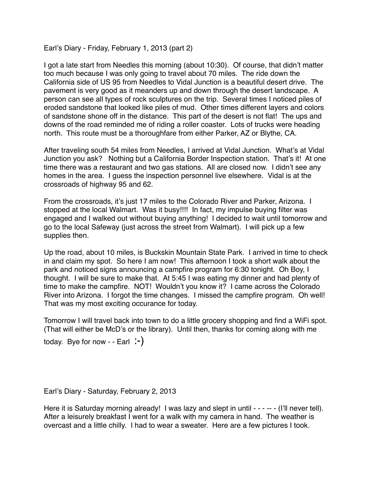Earl's Diary - Friday, February 1, 2013 (part 2)

I got a late start from Needles this morning (about 10:30). Of course, that didn't matter too much because I was only going to travel about 70 miles. The ride down the California side of US 95 from Needles to Vidal Junction is a beautiful desert drive. The pavement is very good as it meanders up and down through the desert landscape. A person can see all types of rock sculptures on the trip. Several times I noticed piles of eroded sandstone that looked like piles of mud. Other times different layers and colors of sandstone shone off in the distance. This part of the desert is not flat! The ups and downs of the road reminded me of riding a roller coaster. Lots of trucks were heading north. This route must be a thoroughfare from either Parker, AZ or Blythe, CA.

After traveling south 54 miles from Needles, I arrived at Vidal Junction. What's at Vidal Junction you ask? Nothing but a California Border Inspection station. That's it! At one time there was a restaurant and two gas stations. All are closed now. I didn't see any homes in the area. I guess the inspection personnel live elsewhere. Vidal is at the crossroads of highway 95 and 62.

From the crossroads, it's just 17 miles to the Colorado River and Parker, Arizona. I stopped at the local Walmart. Was it busy!!!! In fact, my impulse buying filter was engaged and I walked out without buying anything! I decided to wait until tomorrow and go to the local Safeway (just across the street from Walmart). I will pick up a few supplies then.

Up the road, about 10 miles, is Buckskin Mountain State Park. I arrived in time to check in and claim my spot. So here I am now! This afternoon I took a short walk about the park and noticed signs announcing a campfire program for 6:30 tonight. Oh Boy, I thought. I will be sure to make that. At 5:45 I was eating my dinner and had plenty of time to make the campfire. NOT! Wouldn't you know it? I came across the Colorado River into Arizona. I forgot the time changes. I missed the campfire program. Oh well! That was my most exciting occurance for today.

Tomorrow I will travel back into town to do a little grocery shopping and find a WiFi spot. (That will either be McD's or the library). Until then, thanks for coming along with me

today. Bye for now  $-$  - Earl  $\div$ )

Earl's Diary - Saturday, February 2, 2013

Here it is Saturday morning already! I was lazy and slept in until - - - - - (I'll never tell). After a leisurely breakfast I went for a walk with my camera in hand. The weather is overcast and a little chilly. I had to wear a sweater. Here are a few pictures I took.